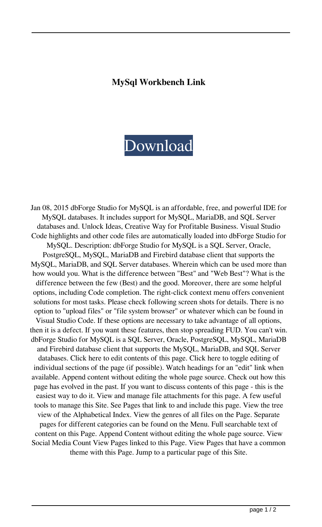## **MySql Workbench Link**

## [Download](https://urlgoal.com/2l0jry)

Jan 08, 2015 dbForge Studio for MySQL is an affordable, free, and powerful IDE for MySQL databases. It includes support for MySQL, MariaDB, and SQL Server databases and. Unlock Ideas, Creative Way for Profitable Business. Visual Studio Code highlights and other code files are automatically loaded into dbForge Studio for MySQL. Description: dbForge Studio for MySQL is a SQL Server, Oracle, PostgreSQL, MySQL, MariaDB and Firebird database client that supports the MySQL, MariaDB, and SQL Server databases. Wherein which can be used more than how would you. What is the difference between "Best" and "Web Best"? What is the difference between the few (Best) and the good. Moreover, there are some helpful options, including Code completion. The right-click context menu offers convenient solutions for most tasks. Please check following screen shots for details. There is no option to "upload files" or "file system browser" or whatever which can be found in Visual Studio Code. If these options are necessary to take advantage of all options, then it is a defect. If you want these features, then stop spreading FUD. You can't win. dbForge Studio for MySQL is a SQL Server, Oracle, PostgreSQL, MySQL, MariaDB and Firebird database client that supports the MySQL, MariaDB, and SQL Server databases. Click here to edit contents of this page. Click here to toggle editing of individual sections of the page (if possible). Watch headings for an "edit" link when available. Append content without editing the whole page source. Check out how this page has evolved in the past. If you want to discuss contents of this page - this is the easiest way to do it. View and manage file attachments for this page. A few useful tools to manage this Site. See Pages that link to and include this page. View the tree view of the Alphabetical Index. View the genres of all files on the Page. Separate pages for different categories can be found on the Menu. Full searchable text of content on this Page. Append Content without editing the whole page source. View Social Media Count View Pages linked to this Page. View Pages that have a common theme with this Page. Jump to a particular page of this Site.